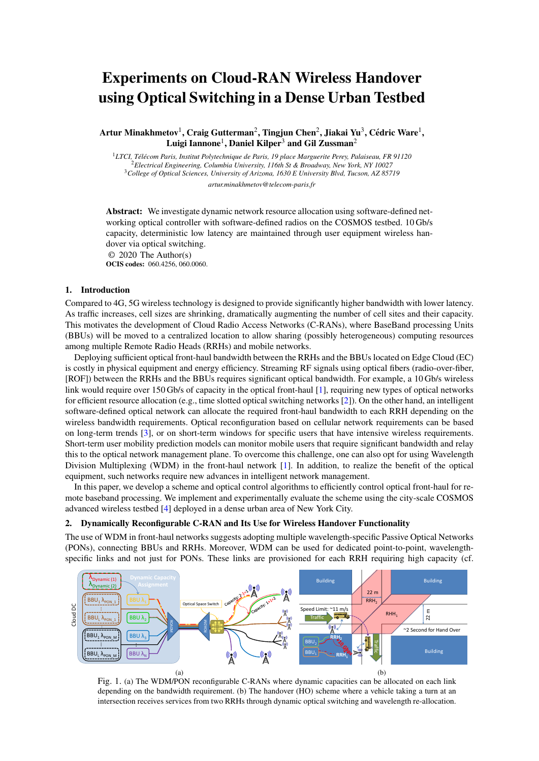# Experiments on Cloud-RAN Wireless Handover using Optical Switching in a Dense Urban Testbed

Artur Minakhmetov $^1$ , Craig Gutterman $^2$ , Tingjun Chen $^2$ , Jiakai Yu $^3$ , Cédric Ware $^1$ , Luigi Iannone<sup>1</sup>, Daniel Kilper<sup>3</sup> and Gil Zussman<sup>2</sup>

*LTCI, Tel´ ecom Paris, Institut Polytechnique de Paris, 19 place Marguerite Perey, Palaiseau, FR 91120 ´ Electrical Engineering, Columbia University, 116th St & Broadway, New York, NY 10027 College of Optical Sciences, University of Arizona, 1630 E University Blvd, Tucson, AZ 85719 artur.minakhmetov@telecom-paris.fr*

Abstract: We investigate dynamic network resource allocation using software-defined networking optical controller with software-defined radios on the COSMOS testbed. 10 Gb/s capacity, deterministic low latency are maintained through user equipment wireless handover via optical switching.

© 2020 The Author(s)

OCIS codes: 060.4256, 060.0060.

# 1. Introduction

Compared to 4G, 5G wireless technology is designed to provide significantly higher bandwidth with lower latency. As traffic increases, cell sizes are shrinking, dramatically augmenting the number of cell sites and their capacity. This motivates the development of Cloud Radio Access Networks (C-RANs), where BaseBand processing Units (BBUs) will be moved to a centralized location to allow sharing (possibly heterogeneous) computing resources among multiple Remote Radio Heads (RRHs) and mobile networks.

Deploying sufficient optical front-haul bandwidth between the RRHs and the BBUs located on Edge Cloud (EC) is costly in physical equipment and energy efficiency. Streaming RF signals using optical fibers (radio-over-fiber, [ROF]) between the RRHs and the BBUs requires significant optical bandwidth. For example, a 10 Gb/s wireless link would require over 150 Gb/s of capacity in the optical front-haul [\[1\]](#page-2-0), requiring new types of optical networks for efficient resource allocation (e.g., time slotted optical switching networks [\[2\]](#page-2-1)). On the other hand, an intelligent software-defined optical network can allocate the required front-haul bandwidth to each RRH depending on the wireless bandwidth requirements. Optical reconfiguration based on cellular network requirements can be based on long-term trends [\[3\]](#page-2-2), or on short-term windows for specific users that have intensive wireless requirements. Short-term user mobility prediction models can monitor mobile users that require significant bandwidth and relay this to the optical network management plane. To overcome this challenge, one can also opt for using Wavelength Division Multiplexing (WDM) in the front-haul network  $[1]$ . In addition, to realize the benefit of the optical equipment, such networks require new advances in intelligent network management.

In this paper, we develop a scheme and optical control algorithms to efficiently control optical front-haul for remote baseband processing. We implement and experimentally evaluate the scheme using the city-scale COSMOS advanced wireless testbed [\[4\]](#page-2-3) deployed in a dense urban area of New York City.

# 2. Dynamically Reconfigurable C-RAN and Its Use for Wireless Handover Functionality

The use of WDM in front-haul networks suggests adopting multiple wavelength-specific Passive Optical Networks (PONs), connecting BBUs and RRHs. Moreover, WDM can be used for dedicated point-to-point, wavelengthspecific links and not just for PONs. These links are provisioned for each RRH requiring high capacity (cf.

<span id="page-0-0"></span>

<span id="page-0-1"></span>Fig. 1. (a) The WDM/PON reconfigurable C-RANs where dynamic capacities can be allocated on each link depending on the bandwidth requirement. (b) The handover (HO) scheme where a vehicle taking a turn at an intersection receives services from two RRHs through dynamic optical switching and wavelength re-allocation.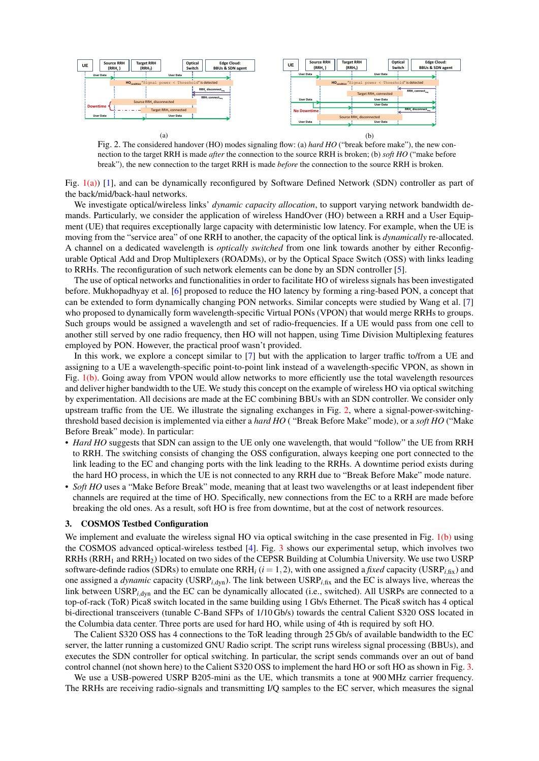

<span id="page-1-0"></span>(a)<br>Fig. 2. The considered handover (HO) modes signaling flow: (a) *hard HO* ("break before make"), the new connection to the target RRH is made *after* the connection to the source RRH is broken; (b) *soft HO* ("make before break"), the new connection to the target RRH is made *before* the connection to the source RRH is broken.

the back/mid/back-haul networks. Fig. [1\(a\)\)](#page-0-0) [\[1\]](#page-2-0), and can be dynamically reconfigured by Software Defined Network (SDN) controller as part of

We investigate optical/wireless links' *dynamic capacity allocation*, to support varying network bandwidth demands. Particularly, we consider the application of wireless HandOver (HO) between a RRH and a User Equipment (UE) that requires exceptionally large capacity with deterministic low latency. For example, when the UE is moving from the "service area" of one RRH to another, the capacity of the optical link is *dynamically* re-allocated. A channel on a dedicated wavelength is *optically switched* from one link towards another by either Reconfigurable Optical Add and Drop Multiplexers (ROADMs), or by the Optical Space Switch (OSS) with links leading to RRHs. The reconfiguration of such network elements can be done by an SDN controller [\[5\]](#page-2-4).

The use of optical networks and functionalities in order to facilitate HO of wireless signals has been investigated before. Mukhopadhyay et al. [\[6\]](#page-2-5) proposed to reduce the HO latency by forming a ring-based PON, a concept that can be extended to form dynamically changing PON networks. Similar concepts were studied by Wang et al. [\[7\]](#page-2-6) who proposed to dynamically form wavelength-specific Virtual PONs (VPON) that would merge RRHs to groups. Such groups would be assigned a wavelength and set of radio-frequencies. If a UE would pass from one cell to another still served by one radio frequency, then HO will not happen, using Time Division Multiplexing features employed by PON. However, the practical proof wasn't provided.

In this work, we explore a concept similar to [\[7\]](#page-2-6) but with the application to larger traffic to/from a UE and assigning to a UE a wavelength-specific point-to-point link instead of a wavelength-specific VPON, as shown in Fig. [1\(b\).](#page-0-1) Going away from VPON would allow networks to more efficiently use the total wavelength resources and deliver higher bandwidth to the UE. We study this concept on the example of wireless HO via optical switching by experimentation. All decisions are made at the EC combining BBUs with an SDN controller. We consider only upstream traffic from the UE. We illustrate the signaling exchanges in Fig. [2,](#page-1-0) where a signal-power-switchingthreshold based decision is implemented via either a *hard HO* ( "Break Before Make" mode), or a *soft HO* ("Make Before Break" mode). In particular:

- *Hard HO* suggests that SDN can assign to the UE only one wavelength, that would "follow" the UE from RRH to RRH. The switching consists of changing the OSS configuration, always keeping one port connected to the link leading to the EC and changing ports with the link leading to the RRHs. A downtime period exists during the hard HO process, in which the UE is not connected to any RRH due to "Break Before Make" mode nature.
- *Soft HO* uses a "Make Before Break" mode, meaning that at least two wavelengths or at least independent fiber channels are required at the time of HO. Specifically, new connections from the EC to a RRH are made before breaking the old ones. As a result, soft HO is free from downtime, but at the cost of network resources.

#### 3. COSMOS Testbed Configuration

We implement and evaluate the wireless signal HO via optical switching in the case presented in Fig. [1\(b\)](#page-0-1) using the COSMOS advanced optical-wireless testbed [\[4\]](#page-2-3). Fig. [3](#page-2-7) shows our experimental setup, which involves two RRHs (RRH<sup>1</sup> and RRH2) located on two sides of the CEPSR Building at Columbia University. We use two USRP software-definde radios (SDRs) to emulate one  $RRH_i$  ( $i = 1, 2$ ), with one assigned a *fixed* capacity (USRP<sub>*i*,fix</sub>) and one assigned a *dynamic* capacity (USRP*i*,dyn). The link between USRP*i*,fix and the EC is always live, whereas the link between USRP<sub>*i*,dyn</sub> and the EC can be dynamically allocated (i.e., switched). All USRPs are connected to a top-of-rack (ToR) Pica8 switch located in the same building using 1 Gb/s Ethernet. The Pica8 switch has 4 optical bi-directional transceivers (tunable C-Band SFPs of 1/10 Gb/s) towards the central Calient S320 OSS located in the Columbia data center. Three ports are used for hard HO, while using of 4th is required by soft HO.

The Calient S320 OSS has 4 connections to the ToR leading through 25 Gb/s of available bandwidth to the EC server, the latter running a customized GNU Radio script. The script runs wireless signal processing (BBUs), and executes the SDN controller for optical switching. In particular, the script sends commands over an out of band control channel (not shown here) to the Calient S320 OSS to implement the hard HO or soft HO as shown in Fig. [3.](#page-2-7)

We use a USB-powered USRP B205-mini as the UE, which transmits a tone at 900 MHz carrier frequency. The RRHs are receiving radio-signals and transmitting I/Q samples to the EC server, which measures the signal